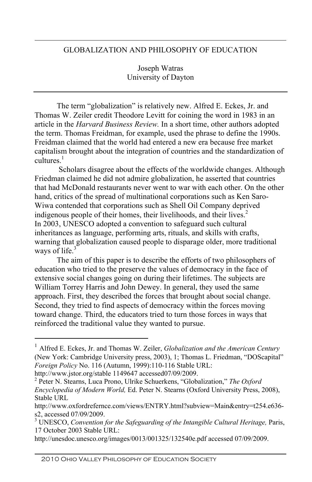## GLOBALIZATION AND PHILOSOPHY OF EDUCATION

Joseph Watras University of Dayton

The term "globalization" is relatively new. Alfred E. Eckes, Jr. and Thomas W. Zeiler credit Theodore Levitt for coining the word in 1983 in an article in the *Harvard Business Review.* In a short time, other authors adopted the term. Thomas Freidman, for example, used the phrase to define the 1990s. Freidman claimed that the world had entered a new era because free market capitalism brought about the integration of countries and the standardization of  $c$ ultures $<sup>1</sup>$ </sup>

 Scholars disagree about the effects of the worldwide changes. Although Friedman claimed he did not admire globalization, he asserted that countries that had McDonald restaurants never went to war with each other. On the other hand, critics of the spread of multinational corporations such as Ken Saro-Wiwa contended that corporations such as Shell Oil Company deprived indigenous people of their homes, their livelihoods, and their lives. $<sup>2</sup>$ </sup> In 2003, UNESCO adopted a convention to safeguard such cultural inheritances as language, performing arts, rituals, and skills with crafts, warning that globalization caused people to disparage older, more traditional ways of life. $3$ 

The aim of this paper is to describe the efforts of two philosophers of education who tried to the preserve the values of democracy in the face of extensive social changes going on during their lifetimes. The subjects are William Torrey Harris and John Dewey. In general, they used the same approach. First, they described the forces that brought about social change. Second, they tried to find aspects of democracy within the forces moving toward change. Third, the educators tried to turn those forces in ways that reinforced the traditional value they wanted to pursue.

http://unesdoc.unesco.org/images/0013/001325/132540e.pdf accessed 07/09/2009.

 <sup>1</sup> Alfred E. Eckes, Jr. and Thomas W. Zeiler, *Globalization and the American Century* (New York: Cambridge University press, 2003), 1; Thomas L. Friedman, "DOScapital" *Foreign Policy* No. 116 (Autumn, 1999):110-116 Stable URL:

http://www.jstor.org/stable 1149647 accessed07/09/2009.

Peter N. Stearns, Luca Prono, Ulrike Schuerkens, "Globalization," *The Oxford Encyclopedia of Modern World,* Ed. Peter N. Stearns (Oxford University Press, 2008), Stable URL

http://www.oxfordrefernce.com/views/ENTRY.html?subview=Main&entry=t254.e636 s2, accessed 07/09/2009.

<sup>&</sup>lt;sup>3</sup> UNESCO, *Convention for the Safeguarding of the Intangible Cultural Heritage*, Paris, 17 October 2003 Stable URL: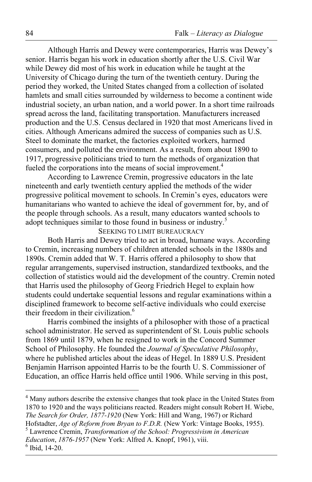Although Harris and Dewey were contemporaries, Harris was Dewey's senior. Harris began his work in education shortly after the U.S. Civil War while Dewey did most of his work in education while he taught at the University of Chicago during the turn of the twentieth century. During the period they worked, the United States changed from a collection of isolated hamlets and small cities surrounded by wilderness to become a continent wide industrial society, an urban nation, and a world power. In a short time railroads spread across the land, facilitating transportation. Manufacturers increased production and the U.S. Census declared in 1920 that most Americans lived in cities. Although Americans admired the success of companies such as U.S. Steel to dominate the market, the factories exploited workers, harmed consumers, and polluted the environment. As a result, from about 1890 to 1917, progressive politicians tried to turn the methods of organization that fueled the corporations into the means of social improvement.<sup>4</sup>

According to Lawrence Cremin, progressive educators in the late nineteenth and early twentieth century applied the methods of the wider progressive political movement to schools. In Cremin's eyes, educators were humanitarians who wanted to achieve the ideal of government for, by, and of the people through schools. As a result, many educators wanted schools to adopt techniques similar to those found in business or industry.<sup>5</sup>

SEEKING TO LIMIT BUREAUCRACY

Both Harris and Dewey tried to act in broad, humane ways. According to Cremin, increasing numbers of children attended schools in the 1880s and 1890s. Cremin added that W. T. Harris offered a philosophy to show that regular arrangements, supervised instruction, standardized textbooks, and the collection of statistics would aid the development of the country. Cremin noted that Harris used the philosophy of Georg Friedrich Hegel to explain how students could undertake sequential lessons and regular examinations within a disciplined framework to become self-active individuals who could exercise their freedom in their civilization.<sup>6</sup>

Harris combined the insights of a philosopher with those of a practical school administrator. He served as superintendent of St. Louis public schools from 1869 until 1879, when he resigned to work in the Concord Summer School of Philosophy. He founded the *Journal of Speculative Philosophy*, where he published articles about the ideas of Hegel. In 1889 U.S. President Benjamin Harrison appointed Harris to be the fourth U. S. Commissioner of Education, an office Harris held office until 1906. While serving in this post,

 $\frac{1}{4}$ <sup>4</sup> Many authors describe the extensive changes that took place in the United States from 1870 to 1920 and the ways politicians reacted. Readers might consult Robert H. Wiebe, *The Search for Order, 1877-1920* (New York: Hill and Wang, 1967) or Richard Hofstadter, *Age of Reform from Bryan to F.D.R.* (New York: Vintage Books, 1955). Lawrence Cremin, *Transformation of the School: Progressivism in American Education, 1876-1957* (New York: Alfred A. Knopf, 1961), viii. <sup>6</sup> Ibid 14-20 Ibid, 14-20.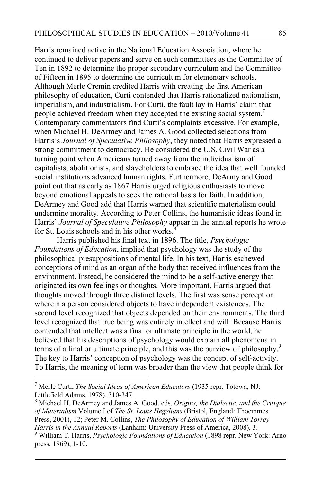Harris remained active in the National Education Association, where he continued to deliver papers and serve on such committees as the Committee of Ten in 1892 to determine the proper secondary curriculum and the Committee of Fifteen in 1895 to determine the curriculum for elementary schools. Although Merle Cremin credited Harris with creating the first American philosophy of education, Curti contended that Harris rationalized nationalism, imperialism, and industrialism. For Curti, the fault lay in Harris' claim that people achieved freedom when they accepted the existing social system.<sup>7</sup> Contemporary commentators find Curti's complaints excessive. For example, when Michael H. DeArmey and James A. Good collected selections from Harris's *Journal of Speculative Philosophy*, they noted that Harris expressed a strong commitment to democracy. He considered the U.S. Civil War as a turning point when Americans turned away from the individualism of capitalists, abolitionists, and slaveholders to embrace the idea that well founded social institutions advanced human rights. Furthermore, DeArmy and Good point out that as early as 1867 Harris urged religious enthusiasts to move beyond emotional appeals to seek the rational basis for faith. In addition, DeArmey and Good add that Harris warned that scientific materialism could undermine morality. According to Peter Collins, the humanistic ideas found in Harris' *Journal of Speculative Philosophy* appear in the annual reports he wrote for St. Louis schools and in his other works.<sup>8</sup>

Harris published his final text in 1896. The title, *Psychologic Foundations of Education*, implied that psychology was the study of the philosophical presuppositions of mental life. In his text, Harris eschewed conceptions of mind as an organ of the body that received influences from the environment. Instead, he considered the mind to be a self-active energy that originated its own feelings or thoughts. More important, Harris argued that thoughts moved through three distinct levels. The first was sense perception wherein a person considered objects to have independent existences. The second level recognized that objects depended on their environments. The third level recognized that true being was entirely intellect and will. Because Harris contended that intellect was a final or ultimate principle in the world, he believed that his descriptions of psychology would explain all phenomena in terms of a final or ultimate principle, and this was the purview of philosophy. 9 The key to Harris' conception of psychology was the concept of self-activity. To Harris, the meaning of term was broader than the view that people think for

<sup>-&</sup>lt;br>7 Merle Curti, *The Social Ideas of American Educators* (1935 repr. Totowa, NJ: Littlefield Adams, 1978), 310-347.

Michael H. DeArmey and James A. Good, eds. *Origins, the Dialectic, and the Critique of Materialism* Volume I of *The St. Louis Hegelians* (Bristol, England: Thoemmes Press, 2001), 12; Peter M. Collins, *The Philosophy of Education of William Torrey Harris in the Annual Reports* (Lanham: University Press of America, 2008), 3.

William T. Harris, *Psychologic Foundations of Education* (1898 repr. New York: Arno press, 1969), 1-10.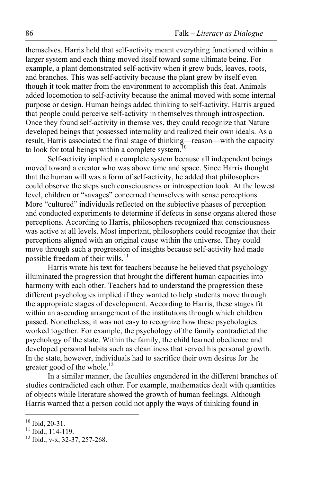themselves. Harris held that self-activity meant everything functioned within a larger system and each thing moved itself toward some ultimate being. For example, a plant demonstrated self-activity when it grew buds, leaves, roots, and branches. This was self-activity because the plant grew by itself even though it took matter from the environment to accomplish this feat. Animals added locomotion to self-activity because the animal moved with some internal purpose or design. Human beings added thinking to self-activity. Harris argued that people could perceive self-activity in themselves through introspection. Once they found self-activity in themselves, they could recognize that Nature developed beings that possessed internality and realized their own ideals. As a result, Harris associated the final stage of thinking—reason—with the capacity to look for total beings within a complete system.<sup>10</sup>

Self-activity implied a complete system because all independent beings moved toward a creator who was above time and space. Since Harris thought that the human will was a form of self-activity, he added that philosophers could observe the steps such consciousness or introspection took. At the lowest level, children or "savages" concerned themselves with sense perceptions. More "cultured" individuals reflected on the subjective phases of perception and conducted experiments to determine if defects in sense organs altered those perceptions. According to Harris, philosophers recognized that consciousness was active at all levels. Most important, philosophers could recognize that their perceptions aligned with an original cause within the universe. They could move through such a progression of insights because self-activity had made possible freedom of their wills.<sup>11</sup>

Harris wrote his text for teachers because he believed that psychology illuminated the progression that brought the different human capacities into harmony with each other. Teachers had to understand the progression these different psychologies implied if they wanted to help students move through the appropriate stages of development. According to Harris, these stages fit within an ascending arrangement of the institutions through which children passed. Nonetheless, it was not easy to recognize how these psychologies worked together. For example, the psychology of the family contradicted the psychology of the state. Within the family, the child learned obedience and developed personal habits such as cleanliness that served his personal growth. In the state, however, individuals had to sacrifice their own desires for the greater good of the whole.<sup>12</sup>

In a similar manner, the faculties engendered in the different branches of studies contradicted each other. For example, mathematics dealt with quantities of objects while literature showed the growth of human feelings. Although Harris warned that a person could not apply the ways of thinking found in

<sup>&</sup>lt;sup>10</sup> Ibid, 20-31.<br><sup>11</sup> Ibid., 114-119.<br><sup>12</sup> Ibid., v-x, 32-37, 257-268.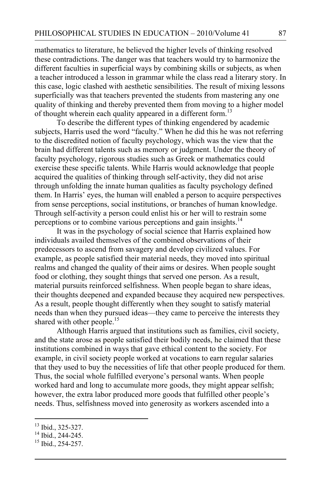mathematics to literature, he believed the higher levels of thinking resolved these contradictions. The danger was that teachers would try to harmonize the different faculties in superficial ways by combining skills or subjects, as when a teacher introduced a lesson in grammar while the class read a literary story. In this case, logic clashed with aesthetic sensibilities. The result of mixing lessons superficially was that teachers prevented the students from mastering any one quality of thinking and thereby prevented them from moving to a higher model of thought wherein each quality appeared in a different form.<sup>13</sup>

To describe the different types of thinking engendered by academic subjects, Harris used the word "faculty." When he did this he was not referring to the discredited notion of faculty psychology, which was the view that the brain had different talents such as memory or judgment. Under the theory of faculty psychology, rigorous studies such as Greek or mathematics could exercise these specific talents. While Harris would acknowledge that people acquired the qualities of thinking through self-activity, they did not arise through unfolding the innate human qualities as faculty psychology defined them. In Harris' eyes, the human will enabled a person to acquire perspectives from sense perceptions, social institutions, or branches of human knowledge. Through self-activity a person could enlist his or her will to restrain some perceptions or to combine various perceptions and gain insights.<sup>14</sup>

It was in the psychology of social science that Harris explained how individuals availed themselves of the combined observations of their predecessors to ascend from savagery and develop civilized values. For example, as people satisfied their material needs, they moved into spiritual realms and changed the quality of their aims or desires. When people sought food or clothing, they sought things that served one person. As a result, material pursuits reinforced selfishness. When people began to share ideas, their thoughts deepened and expanded because they acquired new perspectives. As a result, people thought differently when they sought to satisfy material needs than when they pursued ideas—they came to perceive the interests they shared with other people.<sup>15</sup>

Although Harris argued that institutions such as families, civil society, and the state arose as people satisfied their bodily needs, he claimed that these institutions combined in ways that gave ethical content to the society. For example, in civil society people worked at vocations to earn regular salaries that they used to buy the necessities of life that other people produced for them. Thus, the social whole fulfilled everyone's personal wants. When people worked hard and long to accumulate more goods, they might appear selfish; however, the extra labor produced more goods that fulfilled other people's needs. Thus, selfishness moved into generosity as workers ascended into a

<sup>&</sup>lt;sup>13</sup> Ibid., 325-327.<br><sup>14</sup> Ibid., 244-245.<br><sup>15</sup> Ibid., 254-257.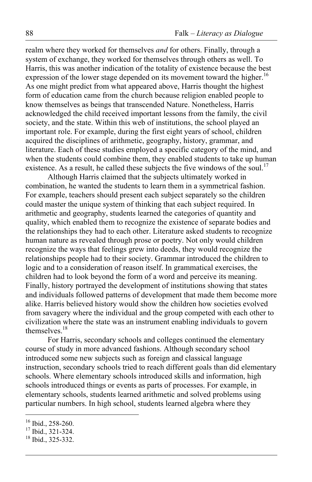realm where they worked for themselves *and* for others. Finally, through a system of exchange, they worked for themselves through others as well. To Harris, this was another indication of the totality of existence because the best expression of the lower stage depended on its movement toward the higher.<sup>16</sup> As one might predict from what appeared above, Harris thought the highest form of education came from the church because religion enabled people to know themselves as beings that transcended Nature. Nonetheless, Harris acknowledged the child received important lessons from the family, the civil society, and the state. Within this web of institutions, the school played an important role. For example, during the first eight years of school, children acquired the disciplines of arithmetic, geography, history, grammar, and literature. Each of these studies employed a specific category of the mind, and when the students could combine them, they enabled students to take up human existence. As a result, he called these subjects the five windows of the soul.<sup>17</sup>

Although Harris claimed that the subjects ultimately worked in combination, he wanted the students to learn them in a symmetrical fashion. For example, teachers should present each subject separately so the children could master the unique system of thinking that each subject required. In arithmetic and geography, students learned the categories of quantity and quality, which enabled them to recognize the existence of separate bodies and the relationships they had to each other. Literature asked students to recognize human nature as revealed through prose or poetry. Not only would children recognize the ways that feelings grew into deeds, they would recognize the relationships people had to their society. Grammar introduced the children to logic and to a consideration of reason itself. In grammatical exercises, the children had to look beyond the form of a word and perceive its meaning. Finally, history portrayed the development of institutions showing that states and individuals followed patterns of development that made them become more alike. Harris believed history would show the children how societies evolved from savagery where the individual and the group competed with each other to civilization where the state was an instrument enabling individuals to govern themselves. 18

For Harris, secondary schools and colleges continued the elementary course of study in more advanced fashions. Although secondary school introduced some new subjects such as foreign and classical language instruction, secondary schools tried to reach different goals than did elementary schools. Where elementary schools introduced skills and information, high schools introduced things or events as parts of processes. For example, in elementary schools, students learned arithmetic and solved problems using particular numbers. In high school, students learned algebra where they

<sup>&</sup>lt;sup>16</sup> Ibid., 258-260.<br><sup>17</sup> Ibid., 321-324.<br><sup>18</sup> Ibid., 325-332.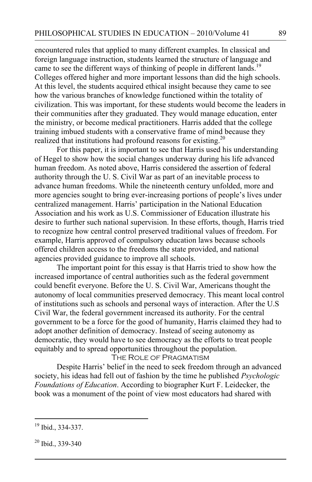encountered rules that applied to many different examples. In classical and foreign language instruction, students learned the structure of language and came to see the different ways of thinking of people in different lands.<sup>19</sup> Colleges offered higher and more important lessons than did the high schools. At this level, the students acquired ethical insight because they came to see how the various branches of knowledge functioned within the totality of civilization. This was important, for these students would become the leaders in their communities after they graduated. They would manage education, enter the ministry, or become medical practitioners. Harris added that the college training imbued students with a conservative frame of mind because they realized that institutions had profound reasons for existing.<sup>20</sup>

For this paper, it is important to see that Harris used his understanding of Hegel to show how the social changes underway during his life advanced human freedom. As noted above, Harris considered the assertion of federal authority through the U. S. Civil War as part of an inevitable process to advance human freedoms. While the nineteenth century unfolded, more and more agencies sought to bring ever-increasing portions of people's lives under centralized management. Harris' participation in the National Education Association and his work as U.S. Commissioner of Education illustrate his desire to further such national supervision. In these efforts, though, Harris tried to recognize how central control preserved traditional values of freedom. For example, Harris approved of compulsory education laws because schools offered children access to the freedoms the state provided, and national agencies provided guidance to improve all schools.

The important point for this essay is that Harris tried to show how the increased importance of central authorities such as the federal government could benefit everyone. Before the U. S. Civil War, Americans thought the autonomy of local communities preserved democracy. This meant local control of institutions such as schools and personal ways of interaction. After the U.S Civil War, the federal government increased its authority. For the central government to be a force for the good of humanity, Harris claimed they had to adopt another definition of democracy. Instead of seeing autonomy as democratic, they would have to see democracy as the efforts to treat people equitably and to spread opportunities throughout the population.

THE ROLE OF PRAGMATISM

Despite Harris' belief in the need to seek freedom through an advanced society, his ideas had fell out of fashion by the time he published *Psychologic Foundations of Education*. According to biographer Kurt F. Leidecker, the book was a monument of the point of view most educators had shared with

19 Ibid., 334-337.

<sup>20</sup> Ibid., 339-340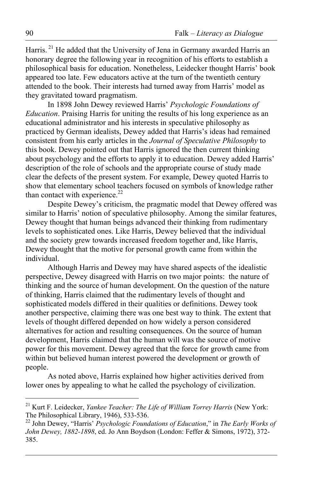Harris.<sup>21</sup> He added that the University of Jena in Germany awarded Harris an honorary degree the following year in recognition of his efforts to establish a philosophical basis for education. Nonetheless, Leidecker thought Harris' book appeared too late. Few educators active at the turn of the twentieth century attended to the book. Their interests had turned away from Harris' model as they gravitated toward pragmatism.

In 1898 John Dewey reviewed Harris' *Psychologic Foundations of Education*. Praising Harris for uniting the results of his long experience as an educational administrator and his interests in speculative philosophy as practiced by German idealists, Dewey added that Harris's ideas had remained consistent from his early articles in the *Journal of Speculative Philosophy* to this book. Dewey pointed out that Harris ignored the then current thinking about psychology and the efforts to apply it to education. Dewey added Harris' description of the role of schools and the appropriate course of study made clear the defects of the present system. For example, Dewey quoted Harris to show that elementary school teachers focused on symbols of knowledge rather than contact with experience.<sup>22</sup>

Despite Dewey's criticism, the pragmatic model that Dewey offered was similar to Harris' notion of speculative philosophy. Among the similar features, Dewey thought that human beings advanced their thinking from rudimentary levels to sophisticated ones. Like Harris, Dewey believed that the individual and the society grew towards increased freedom together and, like Harris, Dewey thought that the motive for personal growth came from within the individual.

Although Harris and Dewey may have shared aspects of the idealistic perspective, Dewey disagreed with Harris on two major points: the nature of thinking and the source of human development. On the question of the nature of thinking, Harris claimed that the rudimentary levels of thought and sophisticated models differed in their qualities or definitions. Dewey took another perspective, claiming there was one best way to think. The extent that levels of thought differed depended on how widely a person considered alternatives for action and resulting consequences. On the source of human development, Harris claimed that the human will was the source of motive power for this movement. Dewey agreed that the force for growth came from within but believed human interest powered the development or growth of people.

As noted above, Harris explained how higher activities derived from lower ones by appealing to what he called the psychology of civilization.

<sup>&</sup>lt;sup>21</sup> Kurt F. Leidecker, *Yankee Teacher: The Life of William Torrey Harris* (New York: The Philosophical Library, 1946), 533-536. 22 John Dewey, "Harris' *Psychologic Foundations of Education*," in *The Early Works of* 

*John Dewey, 1882-1898*, ed. Jo Ann Boydson (London: Feffer & Simons, 1972), 372- 385.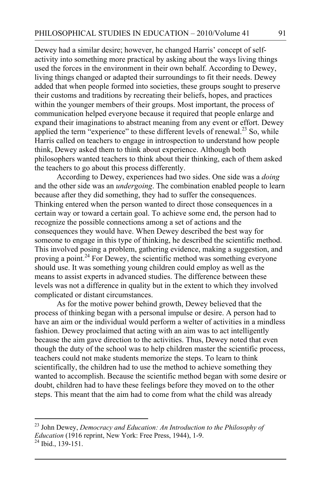Dewey had a similar desire; however, he changed Harris' concept of selfactivity into something more practical by asking about the ways living things used the forces in the environment in their own behalf. According to Dewey, living things changed or adapted their surroundings to fit their needs. Dewey added that when people formed into societies, these groups sought to preserve their customs and traditions by recreating their beliefs, hopes, and practices within the younger members of their groups. Most important, the process of communication helped everyone because it required that people enlarge and expand their imaginations to abstract meaning from any event or effort. Dewey applied the term "experience" to these different levels of renewal.<sup>23</sup> So, while Harris called on teachers to engage in introspection to understand how people think, Dewey asked them to think about experience. Although both philosophers wanted teachers to think about their thinking, each of them asked the teachers to go about this process differently.

According to Dewey, experiences had two sides. One side was a *doing* and the other side was an *undergoing*. The combination enabled people to learn because after they did something, they had to suffer the consequences. Thinking entered when the person wanted to direct those consequences in a certain way or toward a certain goal. To achieve some end, the person had to recognize the possible connections among a set of actions and the consequences they would have. When Dewey described the best way for someone to engage in this type of thinking, he described the scientific method. This involved posing a problem, gathering evidence, making a suggestion, and proving a point.<sup>24</sup> For Dewey, the scientific method was something everyone should use. It was something young children could employ as well as the means to assist experts in advanced studies. The difference between these levels was not a difference in quality but in the extent to which they involved complicated or distant circumstances.

As for the motive power behind growth, Dewey believed that the process of thinking began with a personal impulse or desire. A person had to have an aim or the individual would perform a welter of activities in a mindless fashion. Dewey proclaimed that acting with an aim was to act intelligently because the aim gave direction to the activities. Thus, Dewey noted that even though the duty of the school was to help children master the scientific process, teachers could not make students memorize the steps. To learn to think scientifically, the children had to use the method to achieve something they wanted to accomplish. Because the scientific method began with some desire or doubt, children had to have these feelings before they moved on to the other steps. This meant that the aim had to come from what the child was already

 23 John Dewey, *Democracy and Education: An Introduction to the Philosophy of Education* (1916 reprint, New York: Free Press, 1944), 1-9.<br><sup>24</sup> Ibid., 139-151.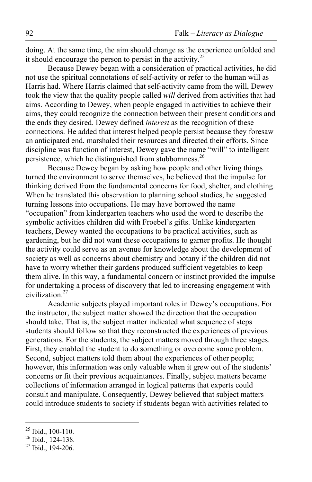doing. At the same time, the aim should change as the experience unfolded and it should encourage the person to persist in the activity. $25$ 

Because Dewey began with a consideration of practical activities, he did not use the spiritual connotations of self-activity or refer to the human will as Harris had. Where Harris claimed that self-activity came from the will, Dewey took the view that the quality people called *will* derived from activities that had aims. According to Dewey, when people engaged in activities to achieve their aims, they could recognize the connection between their present conditions and the ends they desired. Dewey defined *interest* as the recognition of these connections. He added that interest helped people persist because they foresaw an anticipated end, marshaled their resources and directed their efforts. Since discipline was function of interest, Dewey gave the name "will" to intelligent persistence, which he distinguished from stubbornness.<sup>26</sup>

Because Dewey began by asking how people and other living things turned the environment to serve themselves, he believed that the impulse for thinking derived from the fundamental concerns for food, shelter, and clothing. When he translated this observation to planning school studies, he suggested turning lessons into occupations. He may have borrowed the name "occupation" from kindergarten teachers who used the word to describe the symbolic activities children did with Froebel's gifts. Unlike kindergarten teachers, Dewey wanted the occupations to be practical activities, such as gardening, but he did not want these occupations to garner profits. He thought the activity could serve as an avenue for knowledge about the development of society as well as concerns about chemistry and botany if the children did not have to worry whether their gardens produced sufficient vegetables to keep them alive. In this way, a fundamental concern or instinct provided the impulse for undertaking a process of discovery that led to increasing engagement with civilization. 27

Academic subjects played important roles in Dewey's occupations. For the instructor, the subject matter showed the direction that the occupation should take. That is, the subject matter indicated what sequence of steps students should follow so that they reconstructed the experiences of previous generations. For the students, the subject matters moved through three stages. First, they enabled the student to do something or overcome some problem. Second, subject matters told them about the experiences of other people; however, this information was only valuable when it grew out of the students' concerns or fit their previous acquaintances. Finally, subject matters became collections of information arranged in logical patterns that experts could consult and manipulate. Consequently, Dewey believed that subject matters could introduce students to society if students began with activities related to

<sup>&</sup>lt;sup>25</sup> Ibid., 100-110.<br><sup>26</sup> Ibid., 124-138.<br><sup>27</sup> Ibid., 194-206.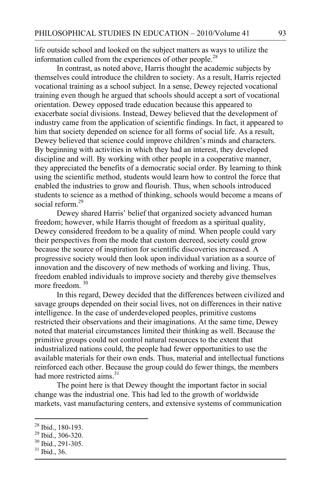life outside school and looked on the subject matters as ways to utilize the information culled from the experiences of other people.<sup>28</sup>

In contrast, as noted above, Harris thought the academic subjects by themselves could introduce the children to society. As a result, Harris rejected vocational training as a school subject. In a sense, Dewey rejected vocational training even though he argued that schools should accept a sort of vocational orientation. Dewey opposed trade education because this appeared to exacerbate social divisions. Instead, Dewey believed that the development of industry came from the application of scientific findings. In fact, it appeared to him that society depended on science for all forms of social life. As a result, Dewey believed that science could improve children's minds and characters. By beginning with activities in which they had an interest, they developed discipline and will. By working with other people in a cooperative manner, they appreciated the benefits of a democratic social order. By learning to think using the scientific method, students would learn how to control the force that enabled the industries to grow and flourish. Thus, when schools introduced students to science as a method of thinking, schools would become a means of social reform. 29

Dewey shared Harris' belief that organized society advanced human freedom; however, while Harris thought of freedom as a spiritual quality, Dewey considered freedom to be a quality of mind. When people could vary their perspectives from the mode that custom decreed, society could grow because the source of inspiration for scientific discoveries increased. A progressive society would then look upon individual variation as a source of innovation and the discovery of new methods of working and living. Thus, freedom enabled individuals to improve society and thereby give themselves more freedom  $30$ 

In this regard, Dewey decided that the differences between civilized and savage groups depended on their social lives, not on differences in their native intelligence. In the case of underdeveloped peoples, primitive customs restricted their observations and their imaginations. At the same time, Dewey noted that material circumstances limited their thinking as well. Because the primitive groups could not control natural resources to the extent that industrialized nations could, the people had fewer opportunities to use the available materials for their own ends. Thus, material and intellectual functions reinforced each other. Because the group could do fewer things, the members had more restricted aims.<sup>31</sup>

The point here is that Dewey thought the important factor in social change was the industrial one. This had led to the growth of worldwide markets, vast manufacturing centers, and extensive systems of communication

<sup>&</sup>lt;sup>28</sup> Ibid., 180-193.<br><sup>29</sup> Ibid., 306-320.<br><sup>30</sup> Ibid., 291-305.<br><sup>31</sup> Ibid., 36.